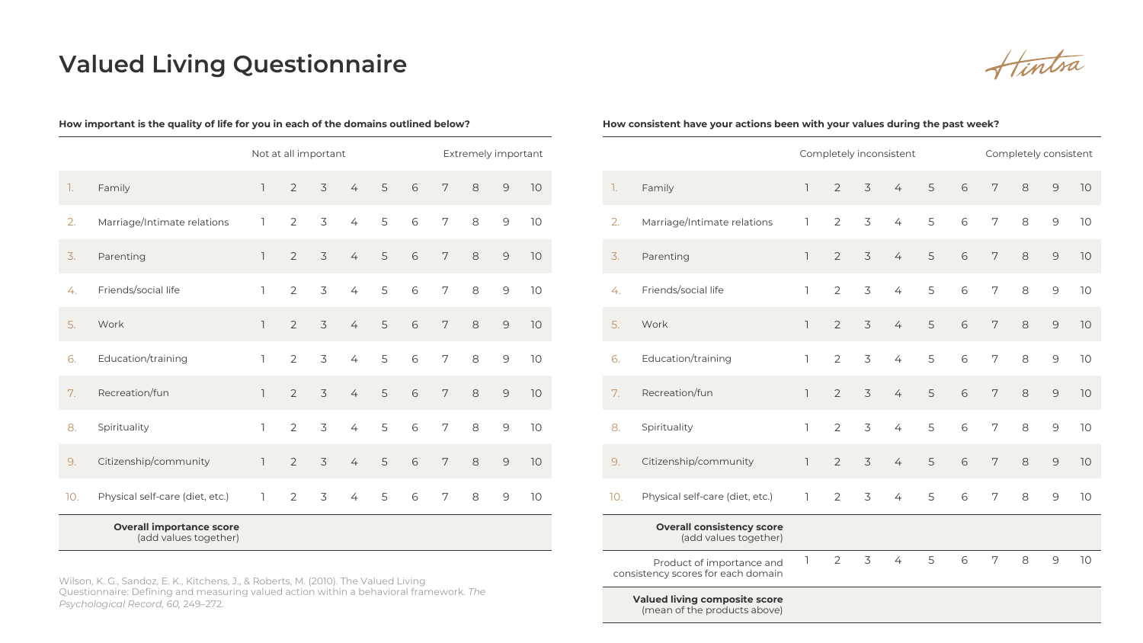## **Valued Living Questionnaire**

**How important is the quality of life for you in each of the domains outlined below?**

Hintra

## Not at all important Extremely important 1. Family 1 2 3 4 5 6 7 8 9 10 2. Marriage/Intimate relations 1 2 3 4 5 6 7 8 9 10 3. Parenting 1 2 3 4 5 6 7 8 9 10 4. Friends/social life 1 2 3 4 5 6 7 8 9 10 5. Work 1 2 3 4 5 6 7 8 9 10 6. Education/training 1 2 3 4 5 6 7 8 9 10 7. Recreation/fun 1 2 3 4 5 6 7 8 9 10 8. Spirituality 1 2 3 4 5 6 7 8 9 10 9. Citizenship/community 1 2 3 4 5 6 7 8 9 10 10. Physical self-care (diet, etc.) 1 2 3 4 5 6 7 8 9 10 **Overall importance score** (add values together)

Wilson, K. G., Sandoz, E. K., Kitchens, J., & Roberts, M. (2010). The Valued Living Questionnaire: Defining and measuring valued action within a behavioral framework. *The Psychological Record, 60,* 249–272.

|                                                                 |                                                           | Completely inconsistent |                |   |                |   | Completely consistent |                |   |               |    |
|-----------------------------------------------------------------|-----------------------------------------------------------|-------------------------|----------------|---|----------------|---|-----------------------|----------------|---|---------------|----|
| 1.                                                              | Family                                                    | $\overline{1}$          | $\overline{2}$ | 3 | $\overline{4}$ | 5 | 6                     | 7              | 8 | $\mathcal{Q}$ | 10 |
| 2.                                                              | Marriage/Intimate relations                               | L                       | 2              | 3 | $\overline{4}$ | 5 | 6                     | 7              | 8 | $\mathcal{G}$ | 10 |
| 3.                                                              | Parenting                                                 | $\overline{1}$          | $\overline{2}$ | 3 | $\overline{4}$ | 5 | $\sqrt{6}$            | 7              | 8 | $\mathcal{Q}$ | 10 |
| 4.                                                              | Friends/social life                                       | $\mathbb{I}$            | $\overline{2}$ | 3 | $\overline{4}$ | 5 | 6                     | 7              | 8 | $\mathsf 9$   | 10 |
| 5.                                                              | Work                                                      | $\overline{1}$          | $\overline{2}$ | 3 | $\overline{4}$ | 5 | 6                     | 7              | 8 | $\mathsf 9$   | 10 |
| 6.                                                              | Education/training                                        | $\mathbb{I}$            | $\overline{2}$ | 3 | $\overline{4}$ | 5 | 6                     | 7              | 8 | $\mathcal{G}$ | 10 |
| 7.                                                              | Recreation/fun                                            | $\overline{1}$          | $\overline{2}$ | 3 | $\overline{4}$ | 5 | $\sqrt{6}$            | 7              | 8 | $\mathcal{Q}$ | 10 |
| 8.                                                              | Spirituality                                              | $\overline{1}$          | $\overline{2}$ | 3 | $\overline{4}$ | 5 | 6                     | 7              | 8 | 9             | 10 |
| 9.                                                              | Citizenship/community                                     | $\overline{1}$          | $\overline{2}$ | 3 | $\overline{4}$ | 5 | 6                     | 7              | 8 | $\mathsf 9$   | 10 |
| 10.                                                             | Physical self-care (diet, etc.)                           | 1                       | $\overline{2}$ | 3 | $\overline{4}$ | 5 | $\sqrt{6}$            | 7              | 8 | $\mathsf 9$   | 10 |
|                                                                 | <b>Overall consistency score</b><br>(add values together) |                         |                |   |                |   |                       |                |   |               |    |
| Product of importance and<br>consistency scores for each domain |                                                           |                         | $\overline{2}$ | 3 | $\overline{4}$ | 5 | 6                     | $\overline{7}$ | 8 | 9             | 10 |
|                                                                 | Valued living composite score                             |                         |                |   |                |   |                       |                |   |               |    |

**How consistent have your actions been with your values during the past week?**

**Valued living composite score** (mean of the products above)